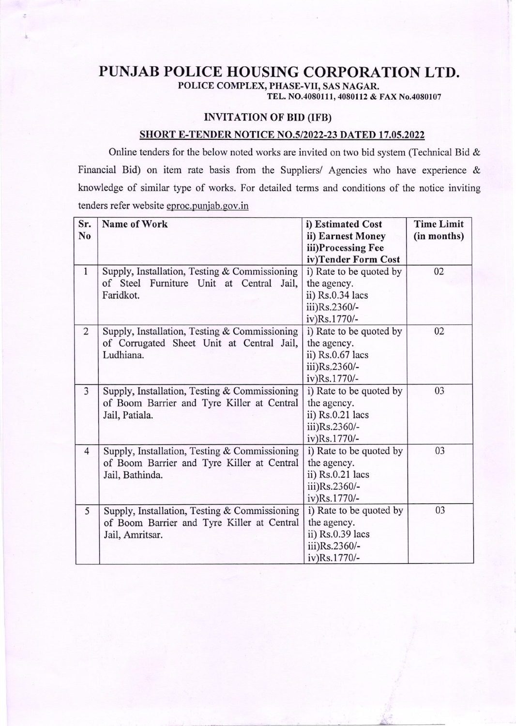## PUNJAB POLICE HOUSING CORPORATION LTD.

POLICE COMPLEX, PHASE-VII, SAS NAGAR.

TEL. NO.4080111, 4080112 & FAX No.4080107

## INVITATION OF BID (IFB)

## SHORT E-TENDER NOTICE NO.5/2022-23 DATED 17.05.2022

Online tenders for the below noted works are invited on two bid system (Technical Bid & Financial Bid) on item rate basis from the Suppliers/ Agencies who have experience  $\&$ knowledge of similar type of works. For detailed terms and conditions of the notice inviting tenders refer website eproc.punjab.gov.in

| Sr.            | Name of Work                                  | i) Estimated Cost       | <b>Time Limit</b> |
|----------------|-----------------------------------------------|-------------------------|-------------------|
| N <sub>0</sub> |                                               | ii) Earnest Money       | (in months)       |
|                |                                               | iii)Processing Fee      |                   |
|                |                                               | iv)Tender Form Cost     |                   |
| $\mathbf{1}$   | Supply, Installation, Testing & Commissioning | i) Rate to be quoted by | 02                |
|                | of Steel Furniture Unit at Central<br>Jail,   | the agency.             |                   |
|                | Faridkot.                                     | ii) Rs.0.34 lacs        |                   |
|                |                                               | iii)Rs.2360/-           |                   |
|                |                                               | iv)Rs.1770/-            |                   |
| $\overline{2}$ | Supply, Installation, Testing & Commissioning | i) Rate to be quoted by | 02                |
|                | of Corrugated Sheet Unit at Central Jail,     | the agency.             |                   |
|                | Ludhiana.                                     | ii) Rs.0.67 lacs        |                   |
|                |                                               | iii)Rs.2360/-           |                   |
|                |                                               | iv)Rs.1770/-            |                   |
| $\overline{3}$ | Supply, Installation, Testing & Commissioning | i) Rate to be quoted by | 03                |
|                | of Boom Barrier and Tyre Killer at Central    | the agency.             |                   |
|                | Jail, Patiala.                                | ii) Rs.0.21 lacs        |                   |
|                |                                               | iii)Rs.2360/-           |                   |
|                |                                               | iv)Rs.1770/-            |                   |
| $\overline{4}$ | Supply, Installation, Testing & Commissioning | i) Rate to be quoted by | 03                |
|                | of Boom Barrier and Tyre Killer at Central    | the agency.             |                   |
|                | Jail, Bathinda.                               | ii) $Rs.0.21$ lacs      |                   |
|                |                                               | iii)Rs.2360/-           |                   |
|                |                                               | iv)Rs.1770/-            |                   |
| 5              | Supply, Installation, Testing & Commissioning | i) Rate to be quoted by | 03                |
|                | of Boom Barrier and Tyre Killer at Central    | the agency.             |                   |
|                | Jail, Amritsar.                               | ii) Rs.0.39 lacs        |                   |
|                |                                               | iii)Rs.2360/-           |                   |
|                |                                               | iv)Rs.1770/-            |                   |